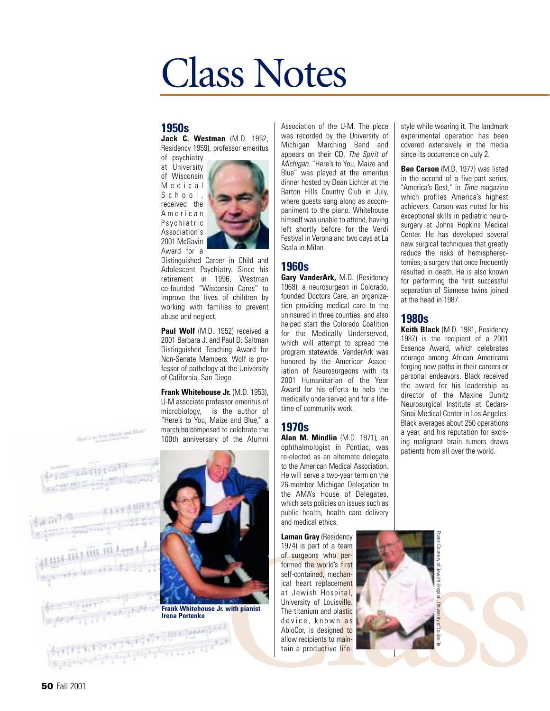# Class Notes

#### **1950s**

**Jack C. Westman** (M.D. 1952, Residency 1959), professor emeritus of psychiatry

at University of Wisconsin Medical School, received the American Psychiatric Association's 2001 McGavin Award for a



Distinguished Career in Child and Adolescent Psychiatry. Since his retirement in 1996, Westman co-founded "Wisconsin Cares" to improve the lives of children by working with families to prevent abuse and neglect.

Paul Wolf (M.D. 1952) received a 2001 Barbara J. and Paul D. Saltman Distinguished Teaching Award for Non-Senate Members. Wolf is professor of pathology at the University of California, San Diego.

**Frank Whitehouse Jr.** (M.D. 1953), U-M associate professor emeritus of microbiology, is the author of "Here's to You, Maize and Blue," a march he composed to celebrate the 100th anniversary of the Alumni



Association of the U-M. The piece was recorded by the University of Michigan Marching Band and appears on their CD, *The Spirit of Michigan*. "Here's to You, Maize and Blue" was played at the emeritus dinner hosted by Dean Lichter at the Barton Hills Country Club in July, where guests sang along as accompaniment to the piano. Whitehouse himself was unable to attend, having left shortly before for the Verdi Festival in Verona and two days at La Scala in Milan.

#### **1960s**

**Gary VanderArk,** M.D. (Residency 1968), a neurosurgeon in Colorado, founded Doctors Care, an organization providing medical care to the uninsured in three counties, and also helped start the Colorado Coalition for the Medically Underserved, which will attempt to spread the program statewide. VanderArk was honored by the American Association of Neurosurgeons with its 2001 Humanitarian of the Year Award for his efforts to help the medically underserved and for a lifetime of community work.

#### **1970s**

**Alan M. Mindlin** (M.D. 1971), an ophthalmologist in Pontiac, was re-elected as an alternate delegate to the American Medical Association. He will serve a two-year term on the 26-member Michigan Delegation to the AMA's House of Delegates, which sets policies on issues such as public health, health care delivery and medical ethics.

**Laman Gray** (Residency 1974) is part of a team of surgeons who performed the world's first self-contained, mechanical heart replacement at Jewish Hospital, University of Louisville. The titanium and plastic device, known as AbioCor, is designed to allow recipients to maintain a productive life-

style while wearing it. The landmark experimental operation has been covered extensively in the media since its occurrence on July 2.

**Ben Carson** (M.D. 1977) was listed in the second of a five-part series, "America's Best," in *Time* magazine which profiles America's highest achievers. Carson was noted for his exceptional skills in pediatric neurosurgery at Johns Hopkins Medical Center. He has developed several new surgical techniques that greatly reduce the risks of hemispherectomies, a surgery that once frequently resulted in death. He is also known for performing the first successful separation of Siamese twins joined at the head in 1987.

#### **1980s**

**Keith Black** (M.D. 1981, Residency 1987) is the recipient of a 2001 Essence Award, which celebrates courage among African Americans forging new paths in their careers or personal endeavors. Black received the award for his leadership as director of the Maxine Dunitz Neurosurgical Institute at Cedars-Sinai Medical Center in Los Angeles. Black averages about 250 operations a year, and his reputation for excising malignant brain tumors draws patients from all over the world.